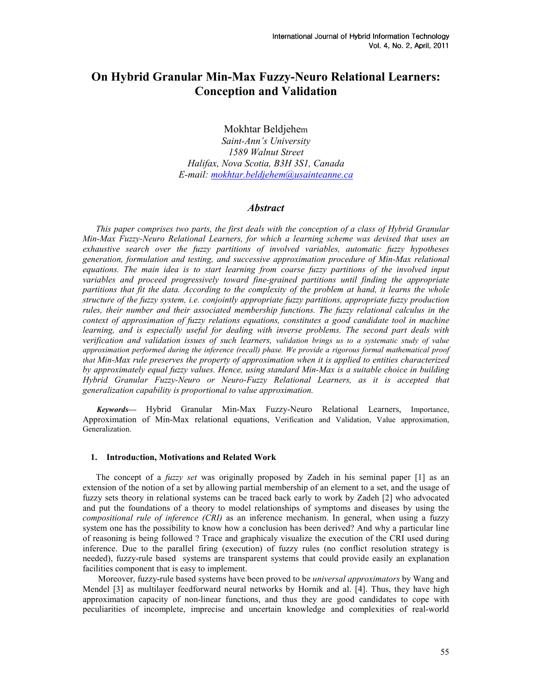# On Hybrid Granular Min-Max Fuzzy-Neuro Relational Learners: Conception and Validation

Mokhtar Beldjehem

Saint-Ann's University 1589 Walnut Street Halifax, Nova Scotia, B3H 3S1, Canada E-mail: mokhtar.beldjehem@usainteanne.ca

# **Abstract**

This paper comprises two parts, the first deals with the conception of a class of Hybrid Granular Min-Max Fuzzy-Neuro Relational Learners, for which a learning scheme was devised that uses an exhaustive search over the fuzzy partitions of involved variables, automatic fuzzy hypotheses generation, formulation and testing, and successive approximation procedure of Min-Max relational equations. The main idea is to start learning from coarse fuzzy partitions of the involved input variables and proceed progressively toward fine-grained partitions until finding the appropriate partitions that fit the data. According to the complexity of the problem at hand, it learns the whole structure of the fuzzy system, i.e. conjointly appropriate fuzzy partitions, appropriate fuzzy production rules, their number and their associated membership functions. The fuzzy relational calculus in the context of approximation of fuzzy relations equations, constitutes a good candidate tool in machine learning, and is especially useful for dealing with inverse problems. The second part deals with verification and validation issues of such learners, validation brings us to a systematic study of value approximation performed during the inference (recall) phase. We provide a rigorous formal mathematical proof that Min-Max rule preserves the property of approximation when it is applied to entities characterized by approximately equal fuzzy values. Hence, using standard Min-Max is a suitable choice in building Hybrid Granular Fuzzy-Neuro or Neuro-Fuzzy Relational Learners, as it is accepted that generalization capability is proportional to value approximation.

 Keywords— Hybrid Granular Min-Max Fuzzy-Neuro Relational Learners, Importance, Approximation of Min-Max relational equations, Verification and Validation, Value approximation, Generalization.

# 1. Introduction, Motivations and Related Work

The concept of a *fuzzy set* was originally proposed by Zadeh in his seminal paper [1] as an extension of the notion of a set by allowing partial membership of an element to a set, and the usage of fuzzy sets theory in relational systems can be traced back early to work by Zadeh [2] who advocated and put the foundations of a theory to model relationships of symptoms and diseases by using the compositional rule of inference (CRI) as an inference mechanism. In general, when using a fuzzy system one has the possibility to know how a conclusion has been derived? And why a particular line of reasoning is being followed ? Trace and graphicaly visualize the execution of the CRI used during inference. Due to the parallel firing (execution) of fuzzy rules (no conflict resolution strategy is needed), fuzzy-rule based systems are transparent systems that could provide easily an explanation facilities component that is easy to implement.

 Moreover, fuzzy-rule based systems have been proved to be universal approximators by Wang and Mendel [3] as multilayer feedforward neural networks by Hornik and al. [4]. Thus, they have high approximation capacity of non-linear functions, and thus they are good candidates to cope with peculiarities of incomplete, imprecise and uncertain knowledge and complexities of real-world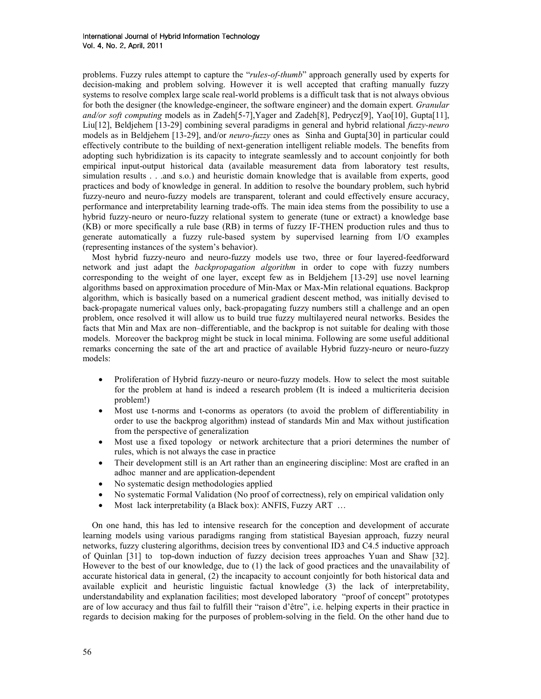problems. Fuzzy rules attempt to capture the "rules-of-thumb" approach generally used by experts for decision-making and problem solving. However it is well accepted that crafting manually fuzzy systems to resolve complex large scale real-world problems is a difficult task that is not always obvious for both the designer (the knowledge-engineer, the software engineer) and the domain expert. *Granular* and/or soft computing models as in Zadeh[5-7], Yager and Zadeh[8], Pedrycz[9], Yao[10], Gupta[11], Liu<sup>[12]</sup>, Beldjehem [13-29] combining several paradigms in general and hybrid relational *fuzzy-neuro* models as in Beldjehem [13-29], and/or *neuro-fuzzy* ones as Sinha and Gupta[30] in particular could effectively contribute to the building of next-generation intelligent reliable models. The benefits from adopting such hybridization is its capacity to integrate seamlessly and to account conjointly for both empirical input-output historical data (available measurement data from laboratory test results, simulation results . . .and s.o.) and heuristic domain knowledge that is available from experts, good practices and body of knowledge in general. In addition to resolve the boundary problem, such hybrid fuzzy-neuro and neuro-fuzzy models are transparent, tolerant and could effectively ensure accuracy, performance and interpretability learning trade-offs. The main idea stems from the possibility to use a hybrid fuzzy-neuro or neuro-fuzzy relational system to generate (tune or extract) a knowledge base (KB) or more specifically a rule base (RB) in terms of fuzzy IF-THEN production rules and thus to generate automatically a fuzzy rule-based system by supervised learning from I/O examples (representing instances of the system's behavior).

Most hybrid fuzzy-neuro and neuro-fuzzy models use two, three or four layered-feedforward network and just adapt the backpropagation algorithm in order to cope with fuzzy numbers corresponding to the weight of one layer, except few as in Beldjehem [13-29] use novel learning algorithms based on approximation procedure of Min-Max or Max-Min relational equations. Backprop algorithm, which is basically based on a numerical gradient descent method, was initially devised to back-propagate numerical values only, back-propagating fuzzy numbers still a challenge and an open problem, once resolved it will allow us to build true fuzzy multilayered neural networks. Besides the facts that Min and Max are non–differentiable, and the backprop is not suitable for dealing with those models. Moreover the backprog might be stuck in local minima. Following are some useful additional remarks concerning the sate of the art and practice of available Hybrid fuzzy-neuro or neuro-fuzzy models:

- Proliferation of Hybrid fuzzy-neuro or neuro-fuzzy models. How to select the most suitable for the problem at hand is indeed a research problem (It is indeed a multicriteria decision problem!)
- Most use t-norms and t-conorms as operators (to avoid the problem of differentiability in order to use the backprog algorithm) instead of standards Min and Max without justification from the perspective of generalization
- Most use a fixed topology or network architecture that a priori determines the number of rules, which is not always the case in practice
- Their development still is an Art rather than an engineering discipline: Most are crafted in an adhoc manner and are application-dependent
- No systematic design methodologies applied
- No systematic Formal Validation (No proof of correctness), rely on empirical validation only
- Most lack interpretability (a Black box): ANFIS, Fuzzy ART ...

On one hand, this has led to intensive research for the conception and development of accurate learning models using various paradigms ranging from statistical Bayesian approach, fuzzy neural networks, fuzzy clustering algorithms, decision trees by conventional ID3 and C4.5 inductive approach of Quinlan [31] to top-down induction of fuzzy decision trees approaches Yuan and Shaw [32]. However to the best of our knowledge, due to (1) the lack of good practices and the unavailability of accurate historical data in general, (2) the incapacity to account conjointly for both historical data and available explicit and heuristic linguistic factual knowledge (3) the lack of interpretability, understandability and explanation facilities; most developed laboratory "proof of concept" prototypes are of low accuracy and thus fail to fulfill their "raison d'être", i.e. helping experts in their practice in regards to decision making for the purposes of problem-solving in the field. On the other hand due to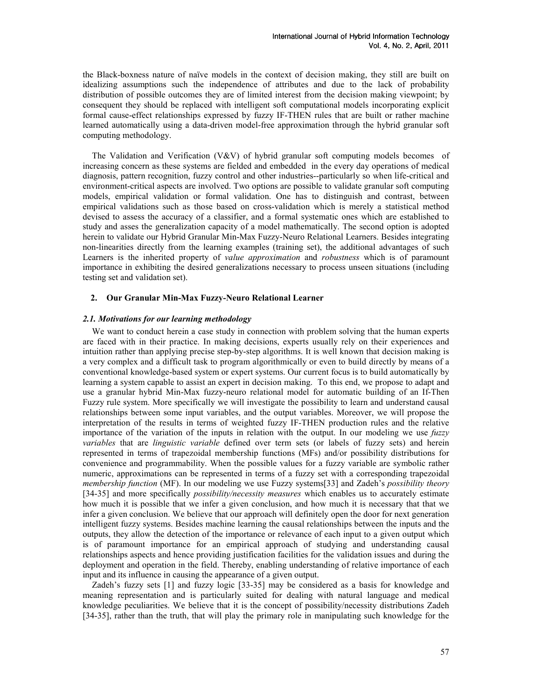the Black-boxness nature of naïve models in the context of decision making, they still are built on idealizing assumptions such the independence of attributes and due to the lack of probability distribution of possible outcomes they are of limited interest from the decision making viewpoint; by consequent they should be replaced with intelligent soft computational models incorporating explicit formal cause-effect relationships expressed by fuzzy IF-THEN rules that are built or rather machine learned automatically using a data-driven model-free approximation through the hybrid granular soft computing methodology.

The Validation and Verification (V&V) of hybrid granular soft computing models becomes of increasing concern as these systems are fielded and embedded in the every day operations of medical diagnosis, pattern recognition, fuzzy control and other industries--particularly so when life-critical and environment-critical aspects are involved. Two options are possible to validate granular soft computing models, empirical validation or formal validation. One has to distinguish and contrast, between empirical validations such as those based on cross-validation which is merely a statistical method devised to assess the accuracy of a classifier, and a formal systematic ones which are established to study and asses the generalization capacity of a model mathematically. The second option is adopted herein to validate our Hybrid Granular Min-Max Fuzzy-Neuro Relational Learners. Besides integrating non-linearities directly from the learning examples (training set), the additional advantages of such Learners is the inherited property of value approximation and robustness which is of paramount importance in exhibiting the desired generalizations necessary to process unseen situations (including testing set and validation set).

#### 2. Our Granular Min-Max Fuzzy-Neuro Relational Learner

#### 2.1. Motivations for our learning methodology

We want to conduct herein a case study in connection with problem solving that the human experts are faced with in their practice. In making decisions, experts usually rely on their experiences and intuition rather than applying precise step-by-step algorithms. It is well known that decision making is a very complex and a difficult task to program algorithmically or even to build directly by means of a conventional knowledge-based system or expert systems. Our current focus is to build automatically by learning a system capable to assist an expert in decision making. To this end, we propose to adapt and use a granular hybrid Min-Max fuzzy-neuro relational model for automatic building of an If-Then Fuzzy rule system. More specifically we will investigate the possibility to learn and understand causal relationships between some input variables, and the output variables. Moreover, we will propose the interpretation of the results in terms of weighted fuzzy IF-THEN production rules and the relative importance of the variation of the inputs in relation with the output. In our modeling we use  $fuzzy$ variables that are linguistic variable defined over term sets (or labels of fuzzy sets) and herein represented in terms of trapezoidal membership functions (MFs) and/or possibility distributions for convenience and programmability. When the possible values for a fuzzy variable are symbolic rather numeric, approximations can be represented in terms of a fuzzy set with a corresponding trapezoidal membership function (MF). In our modeling we use Fuzzy systems[33] and Zadeh's possibility theory [34-35] and more specifically *possibility/necessity measures* which enables us to accurately estimate how much it is possible that we infer a given conclusion, and how much it is necessary that that we infer a given conclusion. We believe that our approach will definitely open the door for next generation intelligent fuzzy systems. Besides machine learning the causal relationships between the inputs and the outputs, they allow the detection of the importance or relevance of each input to a given output which is of paramount importance for an empirical approach of studying and understanding causal relationships aspects and hence providing justification facilities for the validation issues and during the deployment and operation in the field. Thereby, enabling understanding of relative importance of each input and its influence in causing the appearance of a given output.

Zadeh's fuzzy sets [1] and fuzzy logic [33-35] may be considered as a basis for knowledge and meaning representation and is particularly suited for dealing with natural language and medical knowledge peculiarities. We believe that it is the concept of possibility/necessity distributions Zadeh [34-35], rather than the truth, that will play the primary role in manipulating such knowledge for the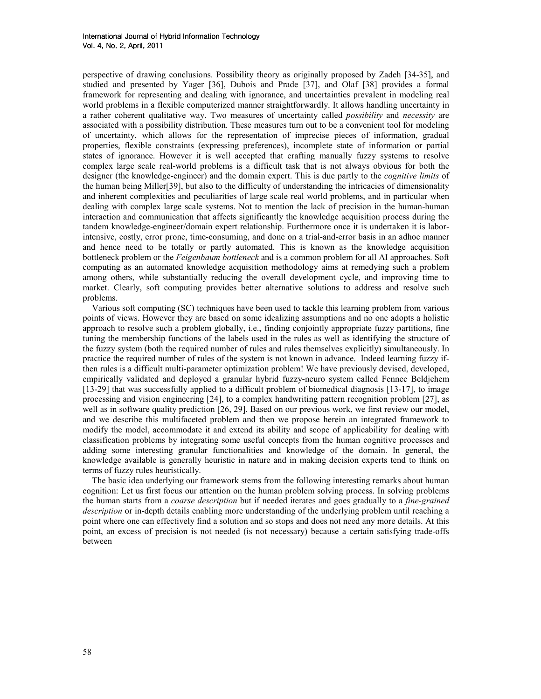perspective of drawing conclusions. Possibility theory as originally proposed by Zadeh [34-35], and studied and presented by Yager [36], Dubois and Prade [37], and Olaf [38] provides a formal framework for representing and dealing with ignorance, and uncertainties prevalent in modeling real world problems in a flexible computerized manner straightforwardly. It allows handling uncertainty in a rather coherent qualitative way. Two measures of uncertainty called *possibility* and *necessity* are associated with a possibility distribution. These measures turn out to be a convenient tool for modeling of uncertainty, which allows for the representation of imprecise pieces of information, gradual properties, flexible constraints (expressing preferences), incomplete state of information or partial states of ignorance. However it is well accepted that crafting manually fuzzy systems to resolve complex large scale real-world problems is a difficult task that is not always obvious for both the designer (the knowledge-engineer) and the domain expert. This is due partly to the *cognitive limits* of the human being Miller[39], but also to the difficulty of understanding the intricacies of dimensionality and inherent complexities and peculiarities of large scale real world problems, and in particular when dealing with complex large scale systems. Not to mention the lack of precision in the human-human interaction and communication that affects significantly the knowledge acquisition process during the tandem knowledge-engineer/domain expert relationship. Furthermore once it is undertaken it is laborintensive, costly, error prone, time-consuming, and done on a trial-and-error basis in an adhoc manner and hence need to be totally or partly automated. This is known as the knowledge acquisition bottleneck problem or the Feigenbaum bottleneck and is a common problem for all AI approaches. Soft computing as an automated knowledge acquisition methodology aims at remedying such a problem among others, while substantially reducing the overall development cycle, and improving time to market. Clearly, soft computing provides better alternative solutions to address and resolve such problems.

Various soft computing (SC) techniques have been used to tackle this learning problem from various points of views. However they are based on some idealizing assumptions and no one adopts a holistic approach to resolve such a problem globally, i.e., finding conjointly appropriate fuzzy partitions, fine tuning the membership functions of the labels used in the rules as well as identifying the structure of the fuzzy system (both the required number of rules and rules themselves explicitly) simultaneously. In practice the required number of rules of the system is not known in advance. Indeed learning fuzzy ifthen rules is a difficult multi-parameter optimization problem! We have previously devised, developed, empirically validated and deployed a granular hybrid fuzzy-neuro system called Fennec Beldjehem [13-29] that was successfully applied to a difficult problem of biomedical diagnosis [13-17], to image processing and vision engineering [24], to a complex handwriting pattern recognition problem [27], as well as in software quality prediction [26, 29]. Based on our previous work, we first review our model, and we describe this multifaceted problem and then we propose herein an integrated framework to modify the model, accommodate it and extend its ability and scope of applicability for dealing with classification problems by integrating some useful concepts from the human cognitive processes and adding some interesting granular functionalities and knowledge of the domain. In general, the knowledge available is generally heuristic in nature and in making decision experts tend to think on terms of fuzzy rules heuristically.

The basic idea underlying our framework stems from the following interesting remarks about human cognition: Let us first focus our attention on the human problem solving process. In solving problems the human starts from a *coarse description* but if needed iterates and goes gradually to a *fine-grained* description or in-depth details enabling more understanding of the underlying problem until reaching a point where one can effectively find a solution and so stops and does not need any more details. At this point, an excess of precision is not needed (is not necessary) because a certain satisfying trade-offs between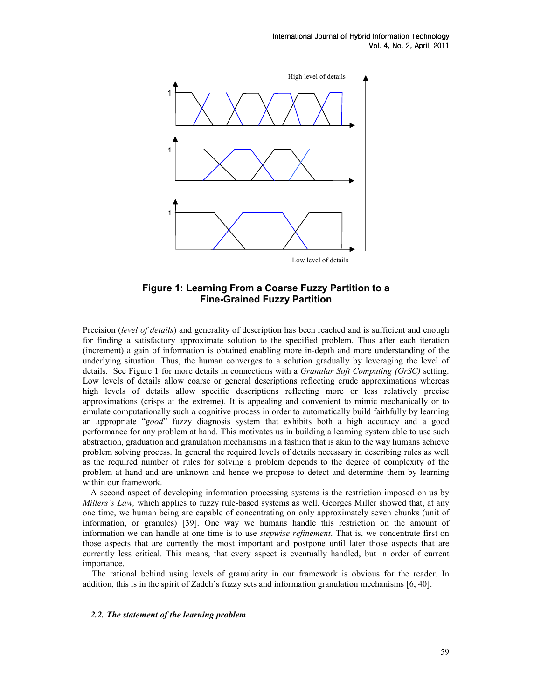

# Figure 1: Learning From a Coarse Fuzzy Partition to a Fine-Grained Fuzzy Partition

Precision (level of details) and generality of description has been reached and is sufficient and enough for finding a satisfactory approximate solution to the specified problem. Thus after each iteration (increment) a gain of information is obtained enabling more in-depth and more understanding of the underlying situation. Thus, the human converges to a solution gradually by leveraging the level of details. See Figure 1 for more details in connections with a Granular Soft Computing (GrSC) setting. Low levels of details allow coarse or general descriptions reflecting crude approximations whereas high levels of details allow specific descriptions reflecting more or less relatively precise approximations (crisps at the extreme). It is appealing and convenient to mimic mechanically or to emulate computationally such a cognitive process in order to automatically build faithfully by learning an appropriate "good" fuzzy diagnosis system that exhibits both a high accuracy and a good performance for any problem at hand. This motivates us in building a learning system able to use such abstraction, graduation and granulation mechanisms in a fashion that is akin to the way humans achieve problem solving process. In general the required levels of details necessary in describing rules as well as the required number of rules for solving a problem depends to the degree of complexity of the problem at hand and are unknown and hence we propose to detect and determine them by learning within our framework.

A second aspect of developing information processing systems is the restriction imposed on us by Millers's Law, which applies to fuzzy rule-based systems as well. Georges Miller showed that, at any one time, we human being are capable of concentrating on only approximately seven chunks (unit of information, or granules) [39]. One way we humans handle this restriction on the amount of information we can handle at one time is to use *stepwise refinement*. That is, we concentrate first on those aspects that are currently the most important and postpone until later those aspects that are currently less critical. This means, that every aspect is eventually handled, but in order of current importance.

The rational behind using levels of granularity in our framework is obvious for the reader. In addition, this is in the spirit of Zadeh's fuzzy sets and information granulation mechanisms [6, 40].

#### 2.2. The statement of the learning problem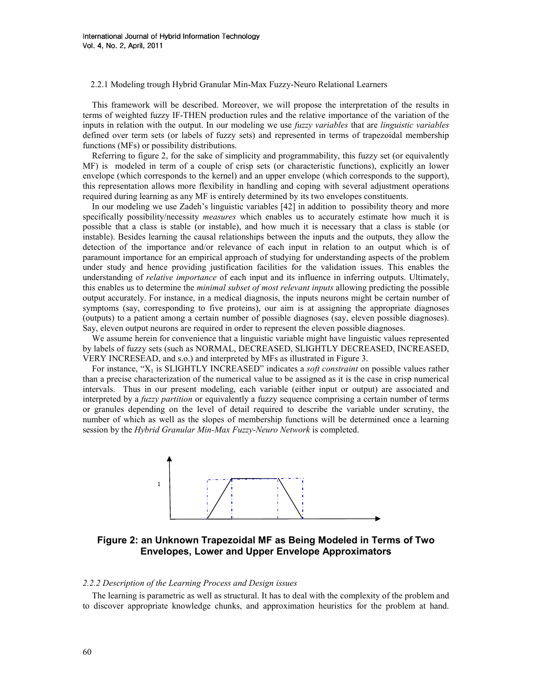2.2.1 Modeling trough Hybrid Granular Min-Max Fuzzy-Neuro Relational Learners

This framework will be described. Moreover, we will propose the interpretation of the results in terms of weighted fuzzy IF-THEN production rules and the relative importance of the variation of the inputs in relation with the output. In our modeling we use *fuzzy variables* that are *linguistic variables* defined over term sets (or labels of fuzzy sets) and represented in terms of trapezoidal membership functions (MFs) or possibility distributions.

Referring to figure 2, for the sake of simplicity and programmability, this fuzzy set (or equivalently MF) is modeled in term of a couple of crisp sets (or characteristic functions), explicitly an lower envelope (which corresponds to the kernel) and an upper envelope (which corresponds to the support), this representation allows more flexibility in handling and coping with several adjustment operations required during learning as any MF is entirely determined by its two envelopes constituents.

In our modeling we use Zadeh's linguistic variables [42] in addition to possibility theory and more specifically possibility/necessity *measures* which enables us to accurately estimate how much it is possible that a class is stable (or instable), and how much it is necessary that a class is stable (or instable). Besides learning the causal relationships between the inputs and the outputs, they allow the detection of the importance and/or relevance of each input in relation to an output which is of paramount importance for an empirical approach of studying for understanding aspects of the problem under study and hence providing justification facilities for the validation issues. This enables the understanding of *relative importance* of each input and its influence in inferring outputs. Ultimately, this enables us to determine the *minimal subset of most relevant inputs* allowing predicting the possible output accurately. For instance, in a medical diagnosis, the inputs neurons might be certain number of symptoms (say, corresponding to five proteins), our aim is at assigning the appropriate diagnoses (outputs) to a patient among a certain number of possible diagnoses (say, eleven possible diagnoses). Say, eleven output neurons are required in order to represent the eleven possible diagnoses.

We assume herein for convenience that a linguistic variable might have linguistic values represented by labels of fuzzy sets (such as NORMAL, DECREASED, SLIGHTLY DECREASED, INCREASED, VERY INCRESEAD, and s.o.) and interpreted by MFs as illustrated in Figure 3.

For instance, " $X_1$  is SLIGHTLY INCREASED" indicates a *soft constraint* on possible values rather than a precise characterization of the numerical value to be assigned as it is the case in crisp numerical intervals. Thus in our present modeling, each variable (either input or output) are associated and interpreted by a *fuzzy partition* or equivalently a fuzzy sequence comprising a certain number of terms or granules depending on the level of detail required to describe the variable under scrutiny, the number of which as well as the slopes of membership functions will be determined once a learning session by the Hybrid Granular Min-Max Fuzzy-Neuro Network is completed.



Figure 2: an Unknown Trapezoidal MF as Being Modeled in Terms of Two Envelopes, Lower and Upper Envelope Approximators

#### 2.2.2 Description of the Learning Process and Design issues

The learning is parametric as well as structural. It has to deal with the complexity of the problem and to discover appropriate knowledge chunks, and approximation heuristics for the problem at hand.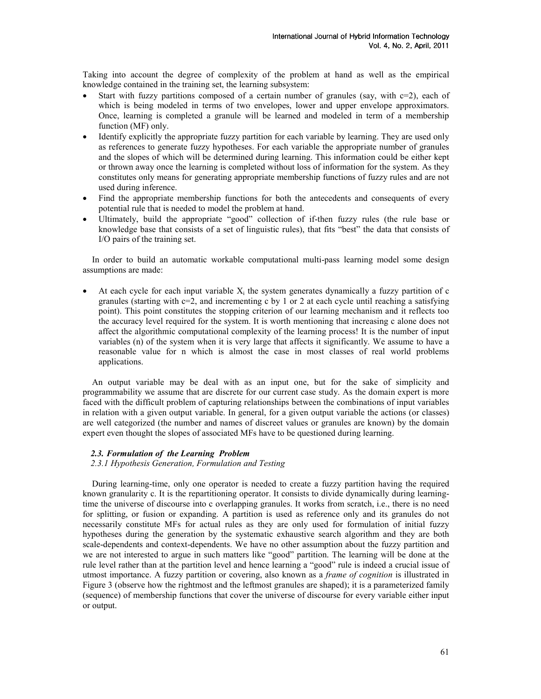Taking into account the degree of complexity of the problem at hand as well as the empirical knowledge contained in the training set, the learning subsystem:

- Start with fuzzy partitions composed of a certain number of granules (say, with  $c=2$ ), each of which is being modeled in terms of two envelopes, lower and upper envelope approximators. Once, learning is completed a granule will be learned and modeled in term of a membership function (MF) only.
- Identify explicitly the appropriate fuzzy partition for each variable by learning. They are used only as references to generate fuzzy hypotheses. For each variable the appropriate number of granules and the slopes of which will be determined during learning. This information could be either kept or thrown away once the learning is completed without loss of information for the system. As they constitutes only means for generating appropriate membership functions of fuzzy rules and are not used during inference.
- Find the appropriate membership functions for both the antecedents and consequents of every potential rule that is needed to model the problem at hand.
- Ultimately, build the appropriate "good" collection of if-then fuzzy rules (the rule base or knowledge base that consists of a set of linguistic rules), that fits "best" the data that consists of I/O pairs of the training set.

In order to build an automatic workable computational multi-pass learning model some design assumptions are made:

• At each cycle for each input variable  $X_i$  the system generates dynamically a fuzzy partition of c granules (starting with  $c=2$ , and incrementing c by 1 or 2 at each cycle until reaching a satisfying point). This point constitutes the stopping criterion of our learning mechanism and it reflects too the accuracy level required for the system. It is worth mentioning that increasing c alone does not affect the algorithmic computational complexity of the learning process! It is the number of input variables (n) of the system when it is very large that affects it significantly. We assume to have a reasonable value for n which is almost the case in most classes of real world problems applications.

An output variable may be deal with as an input one, but for the sake of simplicity and programmability we assume that are discrete for our current case study. As the domain expert is more faced with the difficult problem of capturing relationships between the combinations of input variables in relation with a given output variable. In general, for a given output variable the actions (or classes) are well categorized (the number and names of discreet values or granules are known) by the domain expert even thought the slopes of associated MFs have to be questioned during learning.

# 2.3. Formulation of the Learning Problem

2.3.1 Hypothesis Generation, Formulation and Testing

During learning-time, only one operator is needed to create a fuzzy partition having the required known granularity c. It is the repartitioning operator. It consists to divide dynamically during learningtime the universe of discourse into c overlapping granules. It works from scratch, i.e., there is no need for splitting, or fusion or expanding. A partition is used as reference only and its granules do not necessarily constitute MFs for actual rules as they are only used for formulation of initial fuzzy hypotheses during the generation by the systematic exhaustive search algorithm and they are both scale-dependents and context-dependents. We have no other assumption about the fuzzy partition and we are not interested to argue in such matters like "good" partition. The learning will be done at the rule level rather than at the partition level and hence learning a "good" rule is indeed a crucial issue of utmost importance. A fuzzy partition or covering, also known as a frame of cognition is illustrated in Figure 3 (observe how the rightmost and the leftmost granules are shaped); it is a parameterized family (sequence) of membership functions that cover the universe of discourse for every variable either input or output.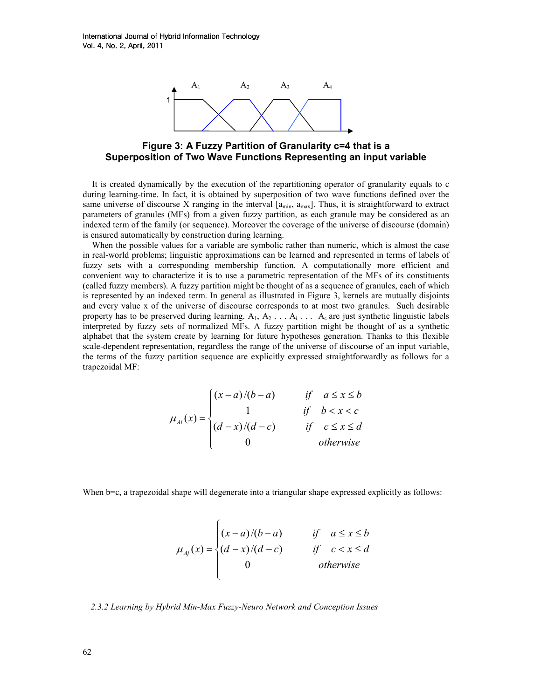

Figure 3: A Fuzzy Partition of Granularity c=4 that is a Superposition of Two Wave Functions Representing an input variable

It is created dynamically by the execution of the repartitioning operator of granularity equals to c during learning-time. In fact, it is obtained by superposition of two wave functions defined over the same universe of discourse X ranging in the interval  $[a_{min}, a_{max}]$ . Thus, it is straightforward to extract parameters of granules (MFs) from a given fuzzy partition, as each granule may be considered as an indexed term of the family (or sequence). Moreover the coverage of the universe of discourse (domain) is ensured automatically by construction during learning.

When the possible values for a variable are symbolic rather than numeric, which is almost the case in real-world problems; linguistic approximations can be learned and represented in terms of labels of fuzzy sets with a corresponding membership function. A computationally more efficient and convenient way to characterize it is to use a parametric representation of the MFs of its constituents (called fuzzy members). A fuzzy partition might be thought of as a sequence of granules, each of which is represented by an indexed term. In general as illustrated in Figure 3, kernels are mutually disjoints and every value x of the universe of discourse corresponds to at most two granules. Such desirable property has to be preserved during learning.  $A_1, A_2, \ldots, A_i, \ldots, A_c$  are just synthetic linguistic labels interpreted by fuzzy sets of normalized MFs. A fuzzy partition might be thought of as a synthetic alphabet that the system create by learning for future hypotheses generation. Thanks to this flexible scale-dependent representation, regardless the range of the universe of discourse of an input variable, the terms of the fuzzy partition sequence are explicitly expressed straightforwardly as follows for a trapezoidal MF:

$$
\mu_{Ai}(x) = \begin{cases}\n(x-a)/(b-a) & \text{if } a \le x \le b \\
1 & \text{if } b < x < c \\
(d-x)/(d-c) & \text{if } c \le x \le d \\
0 & \text{otherwise}\n\end{cases}
$$

When b=c, a trapezoidal shape will degenerate into a triangular shape expressed explicitly as follows:

$$
\mu_{A_j}(x) = \begin{cases}\n(x-a)/(b-a) & \text{if } a \leq x \leq b \\
(d-x)/(d-c) & \text{if } c < x \leq d \\
0 & \text{otherwise}\n\end{cases}
$$

2.3.2 Learning by Hybrid Min-Max Fuzzy-Neuro Network and Conception Issues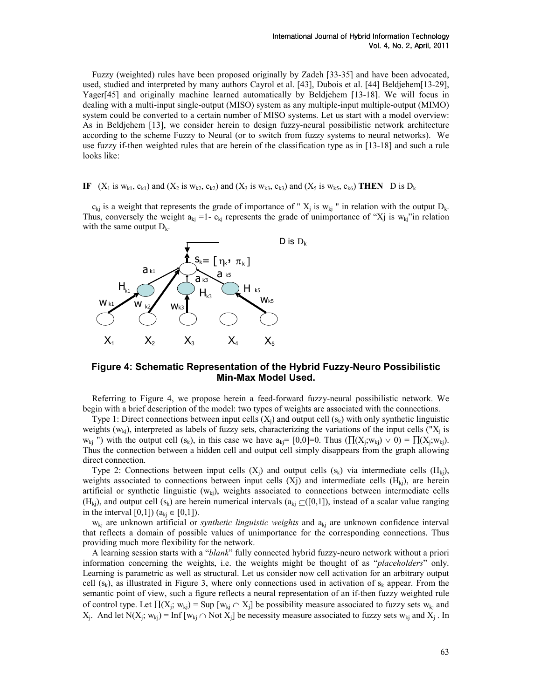Fuzzy (weighted) rules have been proposed originally by Zadeh [33-35] and have been advocated, used, studied and interpreted by many authors Cayrol et al. [43], Dubois et al. [44] Beldjehem[13-29], Yager[45] and originally machine learned automatically by Beldjehem [13-18]. We will focus in dealing with a multi-input single-output (MISO) system as any multiple-input multiple-output (MIMO) system could be converted to a certain number of MISO systems. Let us start with a model overview: As in Beldjehem [13], we consider herein to design fuzzy-neural possibilistic network architecture according to the scheme Fuzzy to Neural (or to switch from fuzzy systems to neural networks). We use fuzzy if-then weighted rules that are herein of the classification type as in [13-18] and such a rule looks like:

IF  $(X_1$  is  $w_{k1}$ ,  $c_{k1}$ ) and  $(X_2$  is  $w_{k2}$ ,  $c_{k2}$ ) and  $(X_3$  is  $w_{k3}$ ,  $c_{k3}$ ) and  $(X_5$  is  $w_{k5}$ ,  $c_{k6}$ ) THEN D is  $D_k$ 

 $c_{kj}$  is a weight that represents the grade of importance of " $X_j$  is  $w_{kj}$ " in relation with the output  $D_k$ . Thus, conversely the weight  $a_{ki} = 1 - c_{ki}$  represents the grade of unimportance of "Xj is  $w_{ki}$ "in relation with the same output  $D_k$ .



# Figure 4: Schematic Representation of the Hybrid Fuzzy-Neuro Possibilistic Min-Max Model Used.

Referring to Figure 4, we propose herein a feed-forward fuzzy-neural possibilistic network. We begin with a brief description of the model: two types of weights are associated with the connections.

Type 1: Direct connections between input cells  $(X_i)$  and output cell  $(s_k)$  with only synthetic linguistic weights  $(w_{kj})$ , interpreted as labels of fuzzy sets, characterizing the variations of the input cells (" $X_j$  is  $w_{kj}$  ") with the output cell  $(s_k)$ , in this case we have  $a_{kj}$  = [0,0]=0. Thus  $(\prod(X_j; w_{kj}) \vee 0) = \prod(X_j; w_{kj})$ . Thus the connection between a hidden cell and output cell simply disappears from the graph allowing direct connection.

Type 2: Connections between input cells  $(X_i)$  and output cells  $(s_k)$  via intermediate cells  $(H_{ki})$ , weights associated to connections between input cells  $(Xj)$  and intermediate cells  $(H_{ki})$ , are herein artificial or synthetic linguistic  $(w_{ki})$ , weights associated to connections between intermediate cells (H<sub>ki</sub>), and output cell (s<sub>k</sub>) are herein numerical intervals ( $a_{ki} \subseteq ([0,1])$ , instead of a scalar value ranging in the interval [0,1]) ( $a_{ki}$  ∈ [0,1]).

 $w_{kj}$  are unknown artificial or *synthetic linguistic weights* and  $a_{kj}$  are unknown confidence interval that reflects a domain of possible values of unimportance for the corresponding connections. Thus providing much more flexibility for the network.

A learning session starts with a "blank" fully connected hybrid fuzzy-neuro network without a priori information concerning the weights, i.e. the weights might be thought of as "placeholders" only. Learning is parametric as well as structural. Let us consider now cell activation for an arbitrary output cell  $(s_k)$ , as illustrated in Figure 3, where only connections used in activation of  $s_k$  appear. From the semantic point of view, such a figure reflects a neural representation of an if-then fuzzy weighted rule of control type. Let  $\Pi(X_j; w_{kj}) = \text{Sup } [w_{kj} \cap X_j]$  be possibility measure associated to fuzzy sets  $w_{kj}$  and  $X_j$ . And let  $N(X_j; w_{kj}) = \text{Inf } [w_{kj} \cap \text{Not } X_j]$  be necessity measure associated to fuzzy sets  $w_{kj}$  and  $X_j$ . In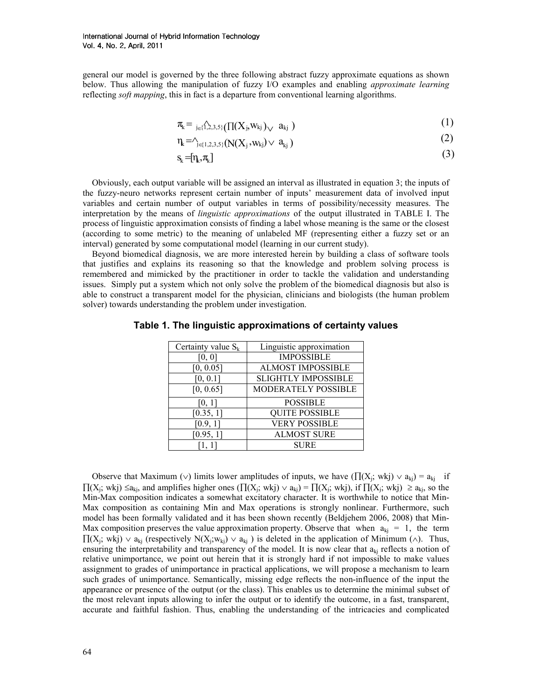general our model is governed by the three following abstract fuzzy approximate equations as shown below. Thus allowing the manipulation of fuzzy I/O examples and enabling *approximate learning* reflecting *soft mapping*, this in fact is a departure from conventional learning algorithms.

$$
\pi_{k} = \sum_{j \in \{\hat{1}, 2, 3, 5\}} (\prod (X_{j}, W_{kj})_{\vee} \ a_{kj}) \tag{1}
$$

$$
\eta_{k} = \gamma_{k} \left( N(X_{j}, w_{kj}) \vee a_{kj} \right) \tag{2}
$$

$$
\mathbf{s}_{k} = [\eta_{k}, \pi_{k}] \tag{3}
$$

Obviously, each output variable will be assigned an interval as illustrated in equation 3; the inputs of the fuzzy-neuro networks represent certain number of inputs' measurement data of involved input variables and certain number of output variables in terms of possibility/necessity measures. The interpretation by the means of linguistic approximations of the output illustrated in TABLE I. The process of linguistic approximation consists of finding a label whose meaning is the same or the closest (according to some metric) to the meaning of unlabeled MF (representing either a fuzzy set or an interval) generated by some computational model (learning in our current study).

Beyond biomedical diagnosis, we are more interested herein by building a class of software tools that justifies and explains its reasoning so that the knowledge and problem solving process is remembered and mimicked by the practitioner in order to tackle the validation and understanding issues. Simply put a system which not only solve the problem of the biomedical diagnosis but also is able to construct a transparent model for the physician, clinicians and biologists (the human problem solver) towards understanding the problem under investigation.

| Certainty value $S_k$ | Linguistic approximation   |
|-----------------------|----------------------------|
| [0, 0]                | <b>IMPOSSIBLE</b>          |
| [0, 0.05]             | <b>ALMOST IMPOSSIBLE</b>   |
| [0, 0.1]              | <b>SLIGHTLY IMPOSSIBLE</b> |
| [0, 0.65]             | <b>MODERATELY POSSIBLE</b> |
| [0, 1]                | <b>POSSIBLE</b>            |
| [0.35, 1]             | <b>QUITE POSSIBLE</b>      |
| [0.9, 1]              | <b>VERY POSSIBLE</b>       |
| [0.95, 1]             | <b>ALMOST SURE</b>         |
|                       | <b>SURE</b>                |

Table 1. The linguistic approximations of certainty values

Observe that Maximum (∨) limits lower amplitudes of inputs, we have  $(\Pi(X_j; wkj) \vee a_{kj}) = a_{kj}$  if  $\Pi(X_j; wkj) \le a_{kj}$ , and amplifies higher ones  $(\Pi(X_j; wkj) \vee a_{kj}) = \Pi(X_j; wkj)$ , if  $\Pi(X_j; wkj) \ge a_{kj}$ , so the Min-Max composition indicates a somewhat excitatory character. It is worthwhile to notice that Min-Max composition as containing Min and Max operations is strongly nonlinear. Furthermore, such model has been formally validated and it has been shown recently (Beldjehem 2006, 2008) that Min-Max composition preserves the value approximation property. Observe that when  $a_{ki} = 1$ , the term  $\Pi(X_j; wkj) \vee a_{kj}$  (respectively  $N(X_j; w_{kj}) \vee a_{kj}$ ) is deleted in the application of Minimum ( $\wedge$ ). Thus, ensuring the interpretability and transparency of the model. It is now clear that  $a_{ki}$  reflects a notion of relative unimportance, we point out herein that it is strongly hard if not impossible to make values assignment to grades of unimportance in practical applications, we will propose a mechanism to learn such grades of unimportance. Semantically, missing edge reflects the non-influence of the input the appearance or presence of the output (or the class). This enables us to determine the minimal subset of the most relevant inputs allowing to infer the output or to identify the outcome, in a fast, transparent, accurate and faithful fashion. Thus, enabling the understanding of the intricacies and complicated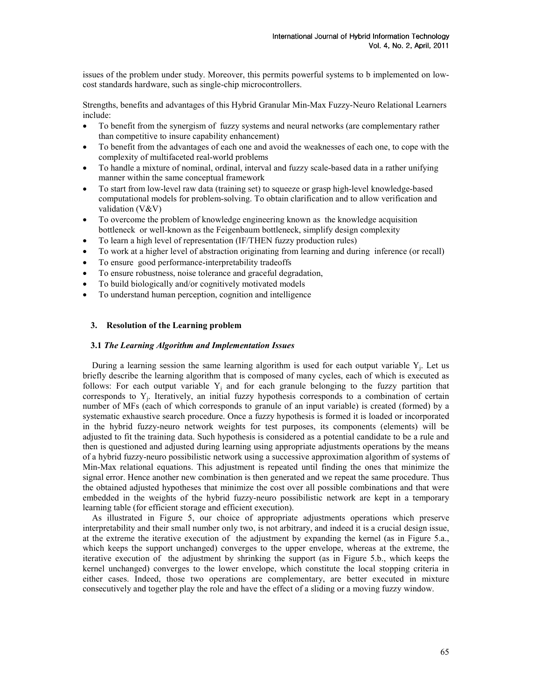issues of the problem under study. Moreover, this permits powerful systems to b implemented on lowcost standards hardware, such as single-chip microcontrollers.

Strengths, benefits and advantages of this Hybrid Granular Min-Max Fuzzy-Neuro Relational Learners include:

- To benefit from the synergism of fuzzy systems and neural networks (are complementary rather than competitive to insure capability enhancement)
- To benefit from the advantages of each one and avoid the weaknesses of each one, to cope with the complexity of multifaceted real-world problems
- To handle a mixture of nominal, ordinal, interval and fuzzy scale-based data in a rather unifying manner within the same conceptual framework
- To start from low-level raw data (training set) to squeeze or grasp high-level knowledge-based computational models for problem-solving. To obtain clarification and to allow verification and validation (V&V)
- To overcome the problem of knowledge engineering known as the knowledge acquisition bottleneck or well-known as the Feigenbaum bottleneck, simplify design complexity
- To learn a high level of representation (IF/THEN fuzzy production rules)
- To work at a higher level of abstraction originating from learning and during inference (or recall)
- To ensure good performance-interpretability tradeoffs
- To ensure robustness, noise tolerance and graceful degradation,
- To build biologically and/or cognitively motivated models
- To understand human perception, cognition and intelligence

# 3. Resolution of the Learning problem

#### 3.1 The Learning Algorithm and Implementation Issues

During a learning session the same learning algorithm is used for each output variable  $Y_j$ . Let us briefly describe the learning algorithm that is composed of many cycles, each of which is executed as follows: For each output variable  $Y_j$  and for each granule belonging to the fuzzy partition that corresponds to  $Y_j$ . Iteratively, an initial fuzzy hypothesis corresponds to a combination of certain number of MFs (each of which corresponds to granule of an input variable) is created (formed) by a systematic exhaustive search procedure. Once a fuzzy hypothesis is formed it is loaded or incorporated in the hybrid fuzzy-neuro network weights for test purposes, its components (elements) will be adjusted to fit the training data. Such hypothesis is considered as a potential candidate to be a rule and then is questioned and adjusted during learning using appropriate adjustments operations by the means of a hybrid fuzzy-neuro possibilistic network using a successive approximation algorithm of systems of Min-Max relational equations. This adjustment is repeated until finding the ones that minimize the signal error. Hence another new combination is then generated and we repeat the same procedure. Thus the obtained adjusted hypotheses that minimize the cost over all possible combinations and that were embedded in the weights of the hybrid fuzzy-neuro possibilistic network are kept in a temporary learning table (for efficient storage and efficient execution).

As illustrated in Figure 5, our choice of appropriate adjustments operations which preserve interpretability and their small number only two, is not arbitrary, and indeed it is a crucial design issue, at the extreme the iterative execution of the adjustment by expanding the kernel (as in Figure 5.a., which keeps the support unchanged) converges to the upper envelope, whereas at the extreme, the iterative execution of the adjustment by shrinking the support (as in Figure 5.b., which keeps the kernel unchanged) converges to the lower envelope, which constitute the local stopping criteria in either cases. Indeed, those two operations are complementary, are better executed in mixture consecutively and together play the role and have the effect of a sliding or a moving fuzzy window.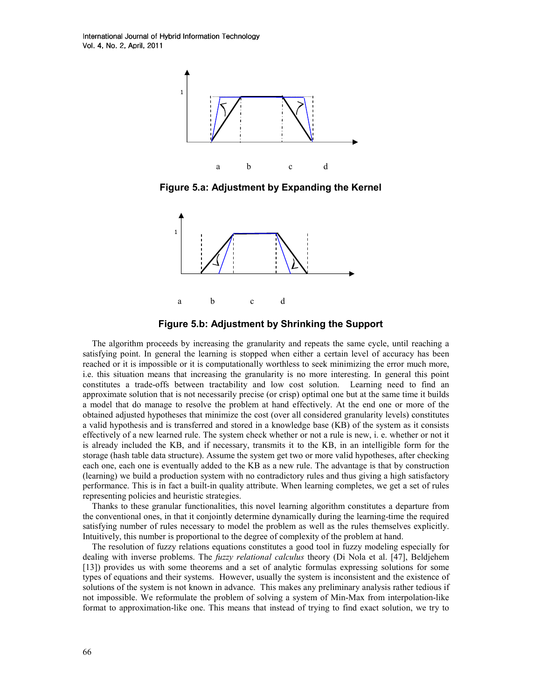International Journal of Hybrid Information Technology Vol. 4, No. 2, April, 2011



Figure 5.a: Adjustment by Expanding the Kernel





The algorithm proceeds by increasing the granularity and repeats the same cycle, until reaching a satisfying point. In general the learning is stopped when either a certain level of accuracy has been reached or it is impossible or it is computationally worthless to seek minimizing the error much more, i.e. this situation means that increasing the granularity is no more interesting. In general this point constitutes a trade-offs between tractability and low cost solution. Learning need to find an approximate solution that is not necessarily precise (or crisp) optimal one but at the same time it builds a model that do manage to resolve the problem at hand effectively. At the end one or more of the obtained adjusted hypotheses that minimize the cost (over all considered granularity levels) constitutes a valid hypothesis and is transferred and stored in a knowledge base (KB) of the system as it consists effectively of a new learned rule. The system check whether or not a rule is new, i. e. whether or not it is already included the KB, and if necessary, transmits it to the KB, in an intelligible form for the storage (hash table data structure). Assume the system get two or more valid hypotheses, after checking each one, each one is eventually added to the KB as a new rule. The advantage is that by construction (learning) we build a production system with no contradictory rules and thus giving a high satisfactory performance. This is in fact a built-in quality attribute. When learning completes, we get a set of rules representing policies and heuristic strategies.

Thanks to these granular functionalities, this novel learning algorithm constitutes a departure from the conventional ones, in that it conjointly determine dynamically during the learning-time the required satisfying number of rules necessary to model the problem as well as the rules themselves explicitly. Intuitively, this number is proportional to the degree of complexity of the problem at hand.

The resolution of fuzzy relations equations constitutes a good tool in fuzzy modeling especially for dealing with inverse problems. The *fuzzy relational calculus* theory (Di Nola et al. [47], Beldjehem [13]) provides us with some theorems and a set of analytic formulas expressing solutions for some types of equations and their systems. However, usually the system is inconsistent and the existence of solutions of the system is not known in advance. This makes any preliminary analysis rather tedious if not impossible. We reformulate the problem of solving a system of Min-Max from interpolation-like format to approximation-like one. This means that instead of trying to find exact solution, we try to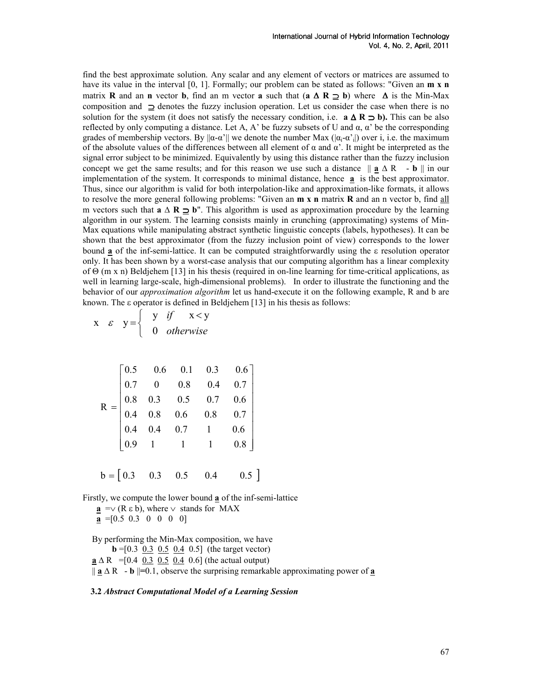find the best approximate solution. Any scalar and any element of vectors or matrices are assumed to have its value in the interval [0, 1]. Formally; our problem can be stated as follows: "Given an **m x n** matrix **R** and an **n** vector **b**, find an m vector **a** such that (**a**  $\Delta$  **R**  $\supseteq$  **b**) where  $\Delta$  is the Min-Max composition and ⊇ denotes the fuzzy inclusion operation. Let us consider the case when there is no solution for the system (it does not satisfy the necessary condition, i.e.  $\mathbf{a} \Delta \mathbf{R} \supset \mathbf{b}$ ). This can be also reflected by only computing a distance. Let A, A' be fuzzy subsets of U and  $\alpha$ ,  $\alpha'$  be the corresponding grades of membership vectors. By  $\|\alpha-\alpha'\|$  we denote the number Max  $(|\alpha_i-\alpha'_i|)$  over i, i.e. the maximum of the absolute values of the differences between all element of α and α'. It might be interpreted as the signal error subject to be minimized. Equivalently by using this distance rather than the fuzzy inclusion concept we get the same results; and for this reason we use such a distance  $|| \mathbf{a} \Delta \mathbf{R} - \mathbf{b} ||$  in our implementation of the system. It corresponds to minimal distance, hence  $\mathbf a$  is the best approximator. Thus, since our algorithm is valid for both interpolation-like and approximation-like formats, it allows to resolve the more general following problems: "Given an  $m \times n$  matrix  $R$  and an n vector b, find all m vectors such that  $a \Delta R \supset b''$ . This algorithm is used as approximation procedure by the learning algorithm in our system. The learning consists mainly in crunching (approximating) systems of Min-Max equations while manipulating abstract synthetic linguistic concepts (labels, hypotheses). It can be shown that the best approximator (from the fuzzy inclusion point of view) corresponds to the lower bound a of the inf-semi-lattice. It can be computed straightforwardly using the ε resolution operator only. It has been shown by a worst-case analysis that our computing algorithm has a linear complexity of Θ (m x n) Beldjehem [13] in his thesis (required in on-line learning for time-critical applications, as well in learning large-scale, high-dimensional problems). In order to illustrate the functioning and the behavior of our *approximation algorithm* let us hand-execute it on the following example, R and b are known. The ε operator is defined in Beldjehem [13] in his thesis as follows:

$$
x \varepsilon y = \begin{cases} y & \text{if } x < y \\ 0 & \text{otherwise} \end{cases}
$$

|  |                                                     | $=\begin{bmatrix} 0.5 & 0.6 & 0.1 & 0.3 & 0.6 \\ 0.7 & 0 & 0.8 & 0.4 & 0.7 \\ 0.8 & 0.3 & 0.5 & 0.7 & 0.6 \\ 0.4 & 0.8 & 0.6 & 0.8 & 0.7 \\ 0.4 & 0.4 & 0.7 & 1 & 0.6 \\ 0.9 & 1 & 1 & 1 & 0.8 \end{bmatrix}$ |     |  |
|--|-----------------------------------------------------|---------------------------------------------------------------------------------------------------------------------------------------------------------------------------------------------------------------|-----|--|
|  |                                                     |                                                                                                                                                                                                               |     |  |
|  |                                                     |                                                                                                                                                                                                               |     |  |
|  |                                                     |                                                                                                                                                                                                               |     |  |
|  |                                                     |                                                                                                                                                                                                               |     |  |
|  | $b = \begin{bmatrix} 0.3 & 0.3 & 0.5 \end{bmatrix}$ | 0.4                                                                                                                                                                                                           | 0.5 |  |

Firstly, we compute the lower bound a of the inf-semi-lattice  $\underline{\mathbf{a}} = \vee$  (R  $\varepsilon$  b), where  $\vee$  stands for MAX

 $\underline{\mathbf{a}} = [0.5 \ 0.3 \ 0 \ 0 \ 0 \ 0]$ 

By performing the Min-Max composition, we have  $\mathbf{b} = [0.3 \ 0.3 \ 0.5 \ 0.4 \ 0.5]$  (the target vector)  $\underline{\mathbf{a}} \Delta R = [0.4 \ 0.3 \ 0.5 \ 0.4 \ 0.6]$  (the actual output)  $\|$  **a**  $\triangle$  R  $\|$  **b**  $\|=$  0.1, observe the surprising remarkable approximating power of **a** 

3.2 Abstract Computational Model of a Learning Session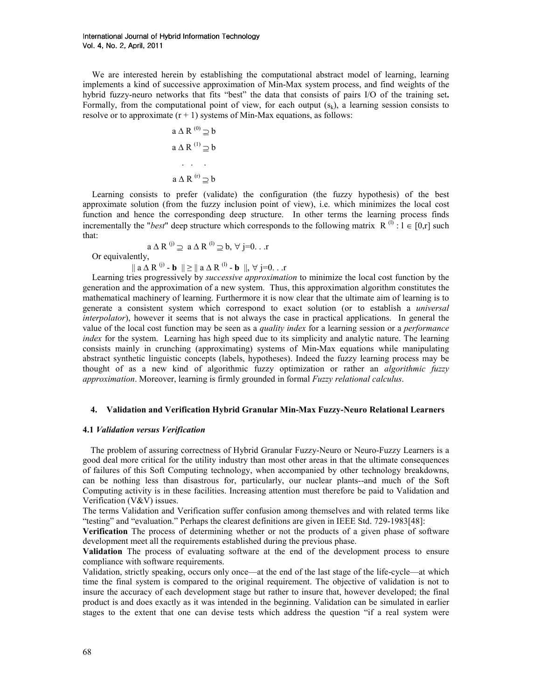We are interested herein by establishing the computational abstract model of learning, learning implements a kind of successive approximation of Min-Max system process, and find weights of the hybrid fuzzy-neuro networks that fits "best" the data that consists of pairs I/O of the training set. Formally, from the computational point of view, for each output  $(s_k)$ , a learning session consists to resolve or to approximate  $(r + 1)$  systems of Min-Max equations, as follows:

$$
a \Delta R^{(0)} \supseteq b
$$

$$
a \Delta R^{(1)} \supseteq b
$$

$$
\cdots
$$

$$
a \Delta R^{(r)} \supseteq b
$$

Learning consists to prefer (validate) the configuration (the fuzzy hypothesis) of the best approximate solution (from the fuzzy inclusion point of view), i.e. which minimizes the local cost function and hence the corresponding deep structure. In other terms the learning process finds incrementally the "best" deep structure which corresponds to the following matrix  $R^{(l)}$ :  $l \in [0,r]$  such that:

 $a \Delta R^{(i)} \supseteq a \Delta R^{(l)} \supseteq b, \forall j=0...r$ Or equivalently,

 $\|$  a  $\Delta$  R<sup>(j)</sup> - **b**  $\|$   $\geq$   $\|$  a  $\Delta$  R<sup>(l)</sup> - **b**  $\|$ ,  $\forall$  j=0...

Learning tries progressively by successive approximation to minimize the local cost function by the generation and the approximation of a new system. Thus, this approximation algorithm constitutes the mathematical machinery of learning. Furthermore it is now clear that the ultimate aim of learning is to generate a consistent system which correspond to exact solution (or to establish a universal interpolator), however it seems that is not always the case in practical applications. In general the value of the local cost function may be seen as a *quality index* for a learning session or a *performance* index for the system. Learning has high speed due to its simplicity and analytic nature. The learning consists mainly in crunching (approximating) systems of Min-Max equations while manipulating abstract synthetic linguistic concepts (labels, hypotheses). Indeed the fuzzy learning process may be thought of as a new kind of algorithmic fuzzy optimization or rather an algorithmic fuzzy approximation. Moreover, learning is firmly grounded in formal Fuzzy relational calculus.

#### 4. Validation and Verification Hybrid Granular Min-Max Fuzzy-Neuro Relational Learners

#### 4.1 Validation versus Verification

The problem of assuring correctness of Hybrid Granular Fuzzy-Neuro or Neuro-Fuzzy Learners is a good deal more critical for the utility industry than most other areas in that the ultimate consequences of failures of this Soft Computing technology, when accompanied by other technology breakdowns, can be nothing less than disastrous for, particularly, our nuclear plants--and much of the Soft Computing activity is in these facilities. Increasing attention must therefore be paid to Validation and Verification (V&V) issues.

The terms Validation and Verification suffer confusion among themselves and with related terms like "testing" and "evaluation." Perhaps the clearest definitions are given in IEEE Std. 729-1983[48]:

Verification The process of determining whether or not the products of a given phase of software development meet all the requirements established during the previous phase.

Validation The process of evaluating software at the end of the development process to ensure compliance with software requirements.

Validation, strictly speaking, occurs only once—at the end of the last stage of the life-cycle—at which time the final system is compared to the original requirement. The objective of validation is not to insure the accuracy of each development stage but rather to insure that, however developed; the final product is and does exactly as it was intended in the beginning. Validation can be simulated in earlier stages to the extent that one can devise tests which address the question "if a real system were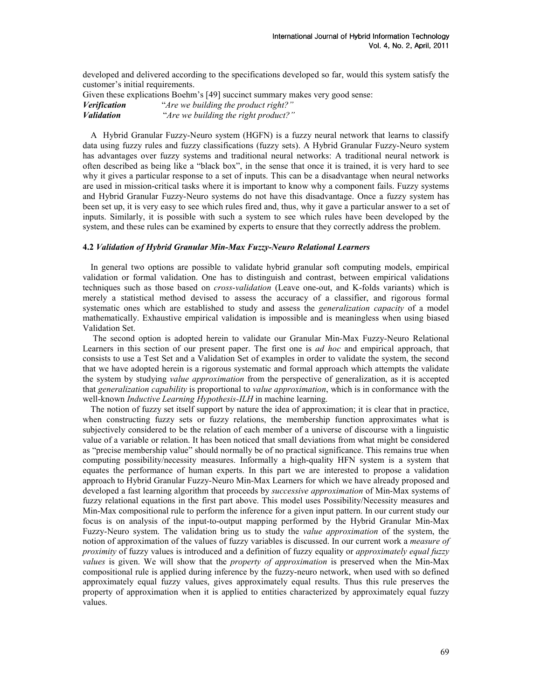developed and delivered according to the specifications developed so far, would this system satisfy the customer's initial requirements.

Given these explications Boehm's [49] succinct summary makes very good sense: Verification "Are we building the product right?" Validation "Are we building the right product?"

A Hybrid Granular Fuzzy-Neuro system (HGFN) is a fuzzy neural network that learns to classify data using fuzzy rules and fuzzy classifications (fuzzy sets). A Hybrid Granular Fuzzy-Neuro system has advantages over fuzzy systems and traditional neural networks: A traditional neural network is often described as being like a "black box", in the sense that once it is trained, it is very hard to see why it gives a particular response to a set of inputs. This can be a disadvantage when neural networks are used in mission-critical tasks where it is important to know why a component fails. Fuzzy systems and Hybrid Granular Fuzzy-Neuro systems do not have this disadvantage. Once a fuzzy system has been set up, it is very easy to see which rules fired and, thus, why it gave a particular answer to a set of inputs. Similarly, it is possible with such a system to see which rules have been developed by the system, and these rules can be examined by experts to ensure that they correctly address the problem.

# 4.2 Validation of Hybrid Granular Min-Max Fuzzy-Neuro Relational Learners

In general two options are possible to validate hybrid granular soft computing models, empirical validation or formal validation. One has to distinguish and contrast, between empirical validations techniques such as those based on *cross-validation* (Leave one-out, and K-folds variants) which is merely a statistical method devised to assess the accuracy of a classifier, and rigorous formal systematic ones which are established to study and assess the *generalization capacity* of a model mathematically. Exhaustive empirical validation is impossible and is meaningless when using biased Validation Set.

 The second option is adopted herein to validate our Granular Min-Max Fuzzy-Neuro Relational Learners in this section of our present paper. The first one is *ad hoc* and empirical approach, that consists to use a Test Set and a Validation Set of examples in order to validate the system, the second that we have adopted herein is a rigorous systematic and formal approach which attempts the validate the system by studying *value approximation* from the perspective of generalization, as it is accepted that generalization capability is proportional to value approximation, which is in conformance with the well-known *Inductive Learning Hypothesis-ILH* in machine learning.

The notion of fuzzy set itself support by nature the idea of approximation; it is clear that in practice, when constructing fuzzy sets or fuzzy relations, the membership function approximates what is subjectively considered to be the relation of each member of a universe of discourse with a linguistic value of a variable or relation. It has been noticed that small deviations from what might be considered as "precise membership value" should normally be of no practical significance. This remains true when computing possibility/necessity measures. Informally a high-quality HFN system is a system that equates the performance of human experts. In this part we are interested to propose a validation approach to Hybrid Granular Fuzzy-Neuro Min-Max Learners for which we have already proposed and developed a fast learning algorithm that proceeds by successive approximation of Min-Max systems of fuzzy relational equations in the first part above. This model uses Possibility/Necessity measures and Min-Max compositional rule to perform the inference for a given input pattern. In our current study our focus is on analysis of the input-to-output mapping performed by the Hybrid Granular Min-Max Fuzzy-Neuro system. The validation bring us to study the value approximation of the system, the notion of approximation of the values of fuzzy variables is discussed. In our current work a *measure of* proximity of fuzzy values is introduced and a definition of fuzzy equality or approximately equal fuzzy values is given. We will show that the *property of approximation* is preserved when the Min-Max compositional rule is applied during inference by the fuzzy-neuro network, when used with so defined approximately equal fuzzy values, gives approximately equal results. Thus this rule preserves the property of approximation when it is applied to entities characterized by approximately equal fuzzy values.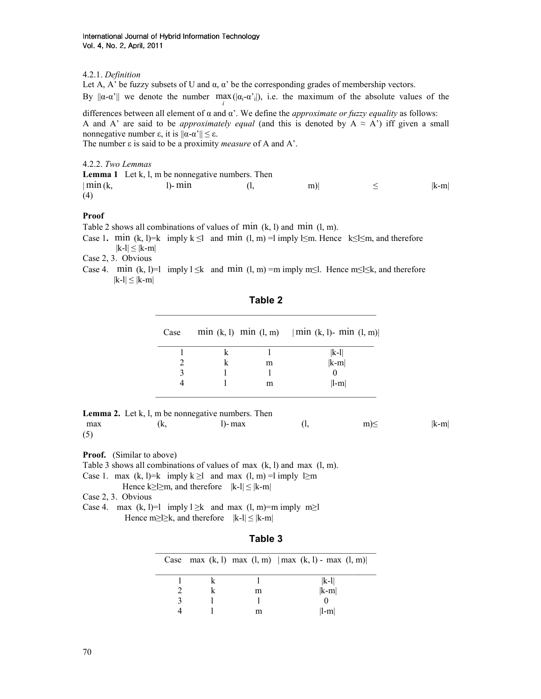# 4.2.1. Definition

Let A, A' be fuzzy subsets of U and  $\alpha$ ,  $\alpha'$  be the corresponding grades of membership vectors.

By  $\|\alpha - \alpha'\|$  we denote the number  $\max(|\alpha_i - \alpha'_i|)$ , i.e. the maximum of the absolute values of the i

differences between all element of  $\alpha$  and  $\alpha'$ . We define the *approximate or fuzzy equality* as follows: A and A' are said to be *approximately equal* (and this is denoted by  $A \approx A'$ ) iff given a small nonnegative number ε, it is  $||\alpha-\alpha'|| \leq \varepsilon$ .

The number  $\varepsilon$  is said to be a proximity *measure* of A and A'.

4.2.2. Two Lemmas

|                   | <b>Lemma 1</b> Let $k$ , $l$ , $m$ be nonnegative numbers. Then |       |         |
|-------------------|-----------------------------------------------------------------|-------|---------|
| $\vert$ min $(k,$ | $\ln m$                                                         | $m$ ) | $ k-m $ |
| (4)               |                                                                 |       |         |

# Proof

Table 2 shows all combinations of values of min  $(k, l)$  and min  $(l, m)$ .

Case 1. min (k, l)=k imply k  $\leq$ l and min (l, m) =l imply  $\leq$ m. Hence k $\leq$ l $\leq$ m, and therefore  $|k-l| \leq |k-m|$ 

Case 2, 3. Obvious

Case 4. min (k, l)=l imply l  $\leq$ k and min (l, m) =m imply m $\leq$ l. Hence m $\leq$ l $\leq$ k, and therefore  $|k-l| \leq |k-m|$ 

| Case |   | min (k, l) min (l, m)   min (k, l) - min (l, m) |
|------|---|-------------------------------------------------|
|      |   | $ k-1 $                                         |
|      | m | $ k-m $                                         |
|      |   |                                                 |
|      | m | $  -m  $                                        |

Table 2

|     |     | <b>Lemma 2.</b> Let $k$ , $l$ , $m$ be nonnegative numbers. Then |          |         |
|-----|-----|------------------------------------------------------------------|----------|---------|
| max | (k. | l)- max                                                          | $m \leq$ | $ k-m $ |
| (5) |     |                                                                  |          |         |

\_\_\_\_\_\_\_\_\_\_\_\_\_\_\_\_\_\_\_\_\_\_\_\_\_\_\_\_\_\_\_\_\_\_\_\_\_\_\_\_\_\_\_\_\_\_\_\_\_\_

Proof. (Similar to above)

Table 3 shows all combinations of values of max (k, l) and max (l, m).

- Case 1. max  $(k, l)=k$  imply  $k \ge l$  and max  $(l, m) = l$  imply  $l \ge m$ 
	- Hence k $\geq$ l $\geq$ m, and therefore  $|k-l| \leq |k-m|$

Case 2, 3. Obvious

Case 4. max  $(k, l)=1$  imply  $l \ge k$  and max  $(l, m)=m$  imply  $m \ge l$ Hence m≥l≥k, and therefore  $|k-l| \le |k-m|$ 

| ומו |  |
|-----|--|
|-----|--|

|  |   | Case max $(k, l)$ max $(l, m)$   max $(k, l)$ - max $(l, m)$ |
|--|---|--------------------------------------------------------------|
|  |   | $ k-1 $                                                      |
|  | m | $ k-m $                                                      |
|  |   |                                                              |
|  | m | $\ l-m\ $                                                    |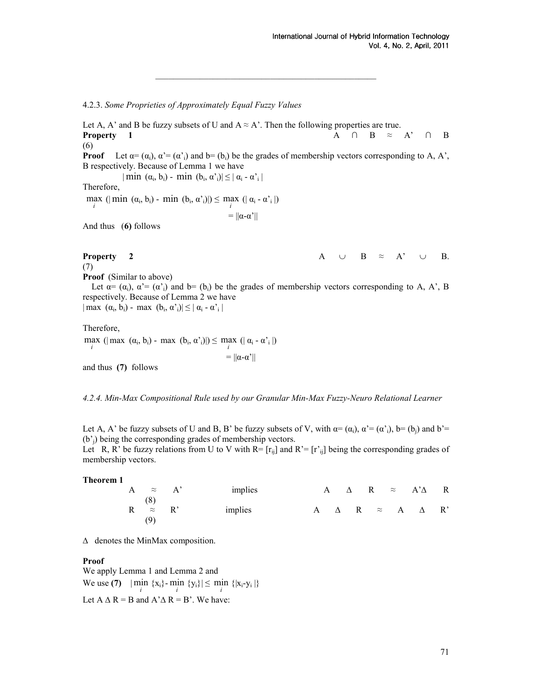#### 4.2.3. Some Proprieties of Approximately Equal Fuzzy Values

Let A, A' and B be fuzzy subsets of U and  $A \approx A'$ . Then the following properties are true. **Property** 1 A ∩ B ≈ A' ∩ B (6) **Proof** Let  $\alpha = (\alpha_i)$ ,  $\alpha' = (\alpha'_i)$  and  $\beta = (\beta_i)$  be the grades of membership vectors corresponding to A, A', B respectively. Because of Lemma 1 we have  $|\min(\alpha_i, b_i) - \min(b_i, \alpha_i)| \leq |\alpha_i - \alpha_i|$ Therefore, i max (| min  $(\alpha_i, b_i)$  - min  $(b_i, \alpha'_i)$ |)  $\leq$  max (|  $\alpha_i$  -  $\alpha'_i$  |) i  $= ||\alpha-\alpha^*||$ And thus (6) follows **Property 2** A ∪ B ≈ A' ∪ B. (7) Proof (Similar to above) Let  $\alpha = (\alpha_i)$ ,  $\alpha' = (\alpha'_{i})$  and  $\beta = (\beta_{i})$  be the grades of membership vectors corresponding to A, A', B respectively. Because of Lemma 2 we have  $|\max(\alpha_i, b_i) - \max(b_i, \alpha_i)| \leq |\alpha_i - \alpha_i|$ Therefore,

\_\_\_\_\_\_\_\_\_\_\_\_\_\_\_\_\_\_\_\_\_\_\_\_\_\_\_\_\_\_\_\_\_\_\_\_\_\_\_\_\_\_\_\_\_\_\_\_\_\_

i max ( $|\max(\alpha_i, b_i) - \max(b_i, \alpha_i)| \leq \max(|\alpha_i - \alpha_i|)$ i

and thus (7) follows

4.2.4. Min-Max Compositional Rule used by our Granular Min-Max Fuzzy-Neuro Relational Learner

 $= ||\alpha-\alpha'||$ 

Let A, A' be fuzzy subsets of U and B, B' be fuzzy subsets of V, with  $\alpha = (\alpha_i)$ ,  $\alpha' = (\alpha'_{i})$ , b= (b<sub>i</sub>) and b'= (b'j) being the corresponding grades of membership vectors.

Let R, R' be fuzzy relations from U to V with  $R = [r_{ii}]$  and  $R' = [r'_{ii}]$  being the corresponding grades of membership vectors.

Theorem 1

| A $\approx$ A'               | implies |  |  | A $\triangle$ R $\approx$ A' $\triangle$ R |  |
|------------------------------|---------|--|--|--------------------------------------------|--|
| (8)<br>$R \approx R'$<br>(9) | implies |  |  | $A \Delta R \approx A \Delta R'$           |  |

∆ denotes the MinMax composition.

#### Proof

We apply Lemma 1 and Lemma 2 and We use (7)  $|\min_{i} {\{x_i\}} - \min_{i} {\{y_i\}}| \le \min_{i} {\{x_i - y_i\}}$ Let  $A \triangle R = B$  and  $A' \triangle R = B'$ . We have: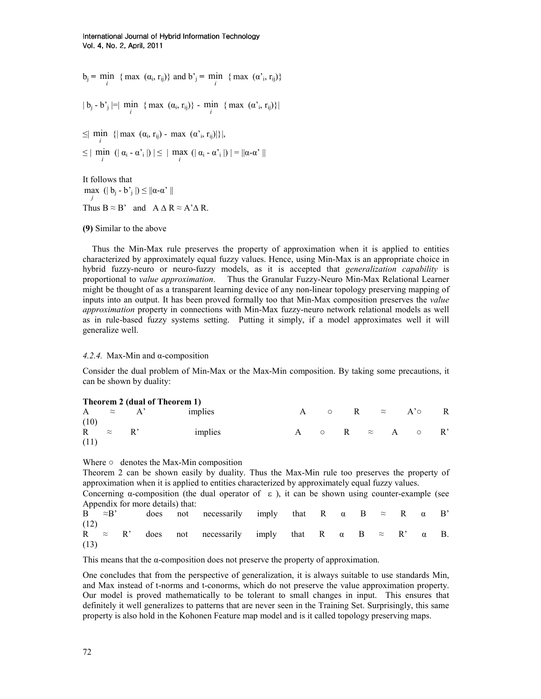$b_j$  = min { max (α<sub>i</sub>, r<sub>ij</sub>)} and b'<sub>j</sub> = min { max (α'<sub>i</sub>, r<sub>ij</sub>)}

 $|b_j - b'_j| = |\min_i \{ \max(a_i, r_{ij}) \} - \min_i \{ \max(a'_i, r_{ij}) \}|$ 

 $\leq$  min {| max ( $\alpha_i$ , r<sub>ij</sub>) - max ( $\alpha'_i$ , r<sub>ij</sub>)|}|,

 $\leq$   $\left| \min_{i} \left( \left| \alpha_{i} - \alpha_{i}^{*} \right| \right) \right| \leq$   $\left| \max_{i} \left( \left| \alpha_{i} - \alpha_{i}^{*} \right| \right) \right| = \left| \left| \alpha - \alpha^{*} \right| \right|$ 

It follows that j max  $(|b_j - b'_j|) \leq ||\alpha - \alpha'||$ Thus  $B \approx B'$  and  $A \Delta R \approx A' \Delta R$ .

# (9) Similar to the above

Thus the Min-Max rule preserves the property of approximation when it is applied to entities characterized by approximately equal fuzzy values. Hence, using Min-Max is an appropriate choice in hybrid fuzzy-neuro or neuro-fuzzy models, as it is accepted that *generalization capability* is proportional to value approximation. Thus the Granular Fuzzy-Neuro Min-Max Relational Learner might be thought of as a transparent learning device of any non-linear topology preserving mapping of inputs into an output. It has been proved formally too that Min-Max composition preserves the value approximation property in connections with Min-Max fuzzy-neuro network relational models as well as in rule-based fuzzy systems setting. Putting it simply, if a model approximates well it will generalize well.

# 4.2.4. Max-Min and α-composition

Consider the dual problem of Min-Max or the Max-Min composition. By taking some precautions, it can be shown by duality:

|             |                | Theorem 2 (dual of Theorem 1) |  |  |                                    |  |
|-------------|----------------|-------------------------------|--|--|------------------------------------|--|
|             | A $\approx$ A' | implies                       |  |  | A $\circ$ R $\approx$ A' $\circ$ R |  |
| (10)        |                |                               |  |  |                                    |  |
| R $\approx$ | $\mathbb{R}^n$ | implies                       |  |  | A $\circ$ R $\approx$ A $\circ$ R' |  |
| (11)        |                |                               |  |  |                                    |  |

Where  $\circ$  denotes the Max-Min composition

Theorem 2 can be shown easily by duality. Thus the Max-Min rule too preserves the property of approximation when it is applied to entities characterized by approximately equal fuzzy values.

Concerning  $\alpha$ -composition (the dual operator of  $\epsilon$ ), it can be shown using counter-example (see Appendix for more details) that:

| $B \approx B'$ |  |  | does not necessarily imply that R $\alpha$ B $\approx$ R $\alpha$ B'                 |  |  |  |  |  |
|----------------|--|--|--------------------------------------------------------------------------------------|--|--|--|--|--|
| (12)<br>(13)   |  |  | R $\approx$ R' does not necessarily imply that R $\alpha$ B $\approx$ R' $\alpha$ B. |  |  |  |  |  |

This means that the  $\alpha$ -composition does not preserve the property of approximation.

One concludes that from the perspective of generalization, it is always suitable to use standards Min, and Max instead of t-norms and t-conorms, which do not preserve the value approximation property. Our model is proved mathematically to be tolerant to small changes in input. This ensures that definitely it well generalizes to patterns that are never seen in the Training Set. Surprisingly, this same property is also hold in the Kohonen Feature map model and is it called topology preserving maps.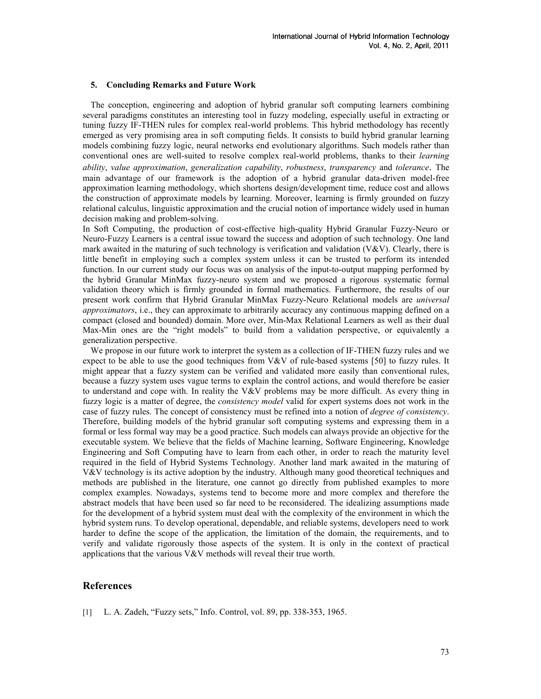#### 5. Concluding Remarks and Future Work

The conception, engineering and adoption of hybrid granular soft computing learners combining several paradigms constitutes an interesting tool in fuzzy modeling, especially useful in extracting or tuning fuzzy IF-THEN rules for complex real-world problems. This hybrid methodology has recently emerged as very promising area in soft computing fields. It consists to build hybrid granular learning models combining fuzzy logic, neural networks end evolutionary algorithms. Such models rather than conventional ones are well-suited to resolve complex real-world problems, thanks to their *learning* ability, value approximation, generalization capability, robustness, transparency and tolerance. The main advantage of our framework is the adoption of a hybrid granular data-driven model-free approximation learning methodology, which shortens design/development time, reduce cost and allows the construction of approximate models by learning. Moreover, learning is firmly grounded on fuzzy relational calculus, linguistic approximation and the crucial notion of importance widely used in human decision making and problem-solving.

In Soft Computing, the production of cost-effective high-quality Hybrid Granular Fuzzy-Neuro or Neuro-Fuzzy Learners is a central issue toward the success and adoption of such technology. One land mark awaited in the maturing of such technology is verification and validation (V&V). Clearly, there is little benefit in employing such a complex system unless it can be trusted to perform its intended function. In our current study our focus was on analysis of the input-to-output mapping performed by the hybrid Granular MinMax fuzzy-neuro system and we proposed a rigorous systematic formal validation theory which is firmly grounded in formal mathematics. Furthermore, the results of our present work confirm that Hybrid Granular MinMax Fuzzy-Neuro Relational models are universal approximators, i.e., they can approximate to arbitrarily accuracy any continuous mapping defined on a compact (closed and bounded) domain. More over, Min-Max Relational Learners as well as their dual Max-Min ones are the "right models" to build from a validation perspective, or equivalently a generalization perspective.

We propose in our future work to interpret the system as a collection of IF-THEN fuzzy rules and we expect to be able to use the good techniques from  $V&V$  of rule-based systems [50] to fuzzy rules. It might appear that a fuzzy system can be verified and validated more easily than conventional rules, because a fuzzy system uses vague terms to explain the control actions, and would therefore be easier to understand and cope with. In reality the V&V problems may be more difficult. As every thing in fuzzy logic is a matter of degree, the *consistency model* valid for expert systems does not work in the case of fuzzy rules. The concept of consistency must be refined into a notion of *degree of consistency*. Therefore, building models of the hybrid granular soft computing systems and expressing them in a formal or less formal way may be a good practice. Such models can always provide an objective for the executable system. We believe that the fields of Machine learning, Software Engineering, Knowledge Engineering and Soft Computing have to learn from each other, in order to reach the maturity level required in the field of Hybrid Systems Technology. Another land mark awaited in the maturing of V&V technology is its active adoption by the industry. Although many good theoretical techniques and methods are published in the literature, one cannot go directly from published examples to more complex examples. Nowadays, systems tend to become more and more complex and therefore the abstract models that have been used so far need to be reconsidered. The idealizing assumptions made for the development of a hybrid system must deal with the complexity of the environment in which the hybrid system runs. To develop operational, dependable, and reliable systems, developers need to work harder to define the scope of the application, the limitation of the domain, the requirements, and to verify and validate rigorously those aspects of the system. It is only in the context of practical applications that the various V&V methods will reveal their true worth.

# References

[1] L. A. Zadeh, "Fuzzy sets," Info. Control, vol. 89, pp. 338-353, 1965.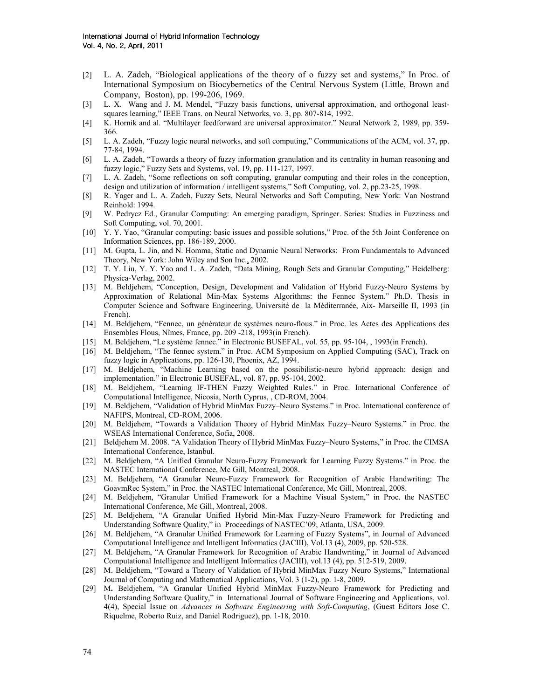- [2] L. A. Zadeh, "Biological applications of the theory of o fuzzy set and systems," In Proc. of International Symposium on Biocybernetics of the Central Nervous System (Little, Brown and Company, Boston), pp. 199-206, 1969.
- [3] L. X. Wang and J. M. Mendel, "Fuzzy basis functions, universal approximation, and orthogonal leastsquares learning," IEEE Trans. on Neural Networks, vo. 3, pp. 807-814, 1992.
- [4] K. Hornik and al. "Multilayer feedforward are universal approximator." Neural Network 2, 1989, pp. 359- 366.
- [5] L. A. Zadeh, "Fuzzy logic neural networks, and soft computing," Communications of the ACM, vol. 37, pp. 77-84, 1994.
- [6] L. A. Zadeh, "Towards a theory of fuzzy information granulation and its centrality in human reasoning and fuzzy logic," Fuzzy Sets and Systems, vol. 19, pp. 111-127, 1997.
- [7] L. A. Zadeh, "Some reflections on soft computing, granular computing and their roles in the conception, design and utilization of information / intelligent systems," Soft Computing, vol. 2, pp.23-25, 1998.
- [8] R. Yager and L. A. Zadeh, Fuzzy Sets, Neural Networks and Soft Computing, New York: Van Nostrand Reinhold: 1994.
- [9] W. Pedrycz Ed., Granular Computing: An emerging paradigm, Springer. Series: Studies in Fuzziness and Soft Computing, vol. 70, 2001.
- [10] Y. Y. Yao, "Granular computing: basic issues and possible solutions," Proc. of the 5th Joint Conference on Information Sciences, pp. 186-189, 2000.
- [11] M. Gupta, L. Jin, and N. Homma, Static and Dynamic Neural Networks: From Fundamentals to Advanced Theory, New York: John Wiley and Son Inc., 2002.
- [12] T. Y. Liu, Y. Y. Yao and L. A. Zadeh, "Data Mining, Rough Sets and Granular Computing," Heidelberg: Physica-Verlag, 2002.
- [13] M. Beldjehem, "Conception, Design, Development and Validation of Hybrid Fuzzy-Neuro Systems by Approximation of Relational Min-Max Systems Algorithms: the Fennec System." Ph.D. Thesis in Computer Science and Software Engineering, Université de la Méditerranée, Aix- Marseille II, 1993 (in French).
- [14] M. Beldjehem, "Fennec, un générateur de systèmes neuro-flous." in Proc. les Actes des Applications des Ensembles Flous, Nîmes, France, pp. 209 -218, 1993(in French).
- [15] M. Beldjehem, "Le système fennec." in Electronic BUSEFAL, vol. 55, pp. 95-104, , 1993(in French).
- [16] M. Beldjehem, "The fennec system." in Proc. ACM Symposium on Applied Computing (SAC), Track on fuzzy logic in Applications, pp. 126-130, Phoenix, AZ, 1994.
- [17] M. Beldjehem, "Machine Learning based on the possibilistic-neuro hybrid approach: design and implementation." in Electronic BUSEFAL, vol. 87, pp. 95-104, 2002.
- [18] M. Beldjehem, "Learning IF-THEN Fuzzy Weighted Rules." in Proc. International Conference of Computational Intelligence, Nicosia, North Cyprus, , CD-ROM, 2004.
- [19] M. Beldjehem, "Validation of Hybrid MinMax Fuzzy–Neuro Systems." in Proc. International conference of NAFIPS, Montreal, CD-ROM, 2006.
- [20] M. Beldjehem, "Towards a Validation Theory of Hybrid MinMax Fuzzy–Neuro Systems." in Proc. the WSEAS International Conference, Sofia, 2008.
- [21] Beldjehem M. 2008. "A Validation Theory of Hybrid MinMax Fuzzy–Neuro Systems," in Proc. the CIMSA International Conference, Istanbul.
- [22] M. Beldjehem, "A Unified Granular Neuro-Fuzzy Framework for Learning Fuzzy Systems." in Proc. the NASTEC International Conference, Mc Gill, Montreal, 2008.
- [23] M. Beldjehem, "A Granular Neuro-Fuzzy Framework for Recognition of Arabic Handwriting: The GoavmRec System," in Proc. the NASTEC International Conference, Mc Gill, Montreal, 2008.
- [24] M. Beldjehem, "Granular Unified Framework for a Machine Visual System," in Proc. the NASTEC International Conference, Mc Gill, Montreal, 2008.
- [25] M. Beldjehem, "A Granular Unified Hybrid Min-Max Fuzzy-Neuro Framework for Predicting and Understanding Software Quality," in Proceedings of NASTEC'09, Atlanta, USA, 2009.
- [26] M. Beldjehem, "A Granular Unified Framework for Learning of Fuzzy Systems", in Journal of Advanced Computational Intelligence and Intelligent Informatics (JACIII), Vol.13 (4), 2009, pp. 520-528.
- [27] M. Beldjehem, "A Granular Framework for Recognition of Arabic Handwriting," in Journal of Advanced Computational Intelligence and Intelligent Informatics (JACIII), vol.13 (4), pp. 512-519, 2009.
- [28] M. Beldjehem, "Toward a Theory of Validation of Hybrid MinMax Fuzzy Neuro Systems," International Journal of Computing and Mathematical Applications, Vol. 3 (1-2), pp. 1-8, 2009.
- [29] M. Beldjehem, "A Granular Unified Hybrid MinMax Fuzzy-Neuro Framework for Predicting and Understanding Software Quality," in International Journal of Software Engineering and Applications, vol. 4(4), Special Issue on Advances in Software Engineering with Soft-Computing, (Guest Editors Jose C. Riquelme, Roberto Ruiz, and Daniel Rodriguez), pp. 1-18, 2010.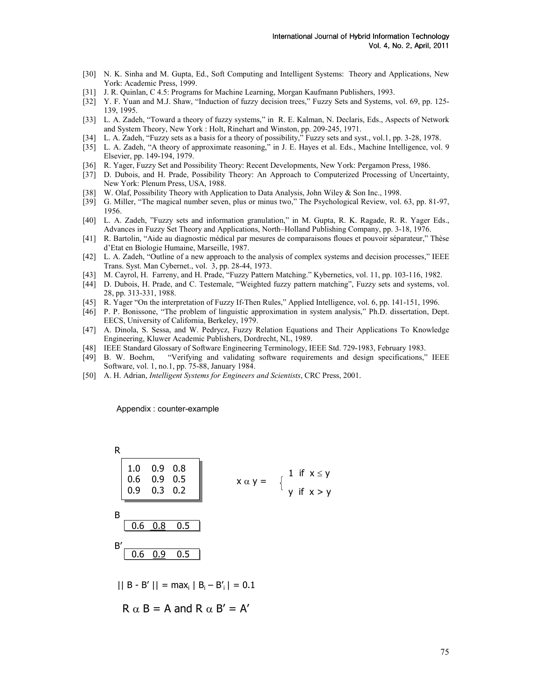- [30] N. K. Sinha and M. Gupta, Ed., Soft Computing and Intelligent Systems: Theory and Applications, New York: Academic Press, 1999.
- [31] J. R. Quinlan, C 4.5: Programs for Machine Learning, Morgan Kaufmann Publishers, 1993.
- [32] Y. F. Yuan and M.J. Shaw, "Induction of fuzzy decision trees," Fuzzy Sets and Systems, vol. 69, pp. 125-139, 1995.
- [33] L. A. Zadeh, "Toward a theory of fuzzy systems," in R. E. Kalman, N. Declaris, Eds., Aspects of Network and System Theory, New York : Holt, Rinehart and Winston, pp. 209-245, 1971.
- [34] L. A. Zadeh, "Fuzzy sets as a basis for a theory of possibility," Fuzzy sets and syst., vol.1, pp. 3-28, 1978.
- [35] L. A. Zadeh, "A theory of approximate reasoning," in J. E. Hayes et al. Eds., Machine Intelligence, vol. 9 Elsevier, pp. 149-194, 1979.
- [36] R. Yager, Fuzzy Set and Possibility Theory: Recent Developments, New York: Pergamon Press, 1986.
- [37] D. Dubois, and H. Prade, Possibility Theory: An Approach to Computerized Processing of Uncertainty, New York: Plenum Press, USA, 1988.
- [38] W. Olaf, Possibility Theory with Application to Data Analysis, John Wiley & Son Inc., 1998.
- [39] G. Miller, "The magical number seven, plus or minus two," The Psychological Review, vol. 63, pp. 81-97, 1956.
- [40] L. A. Zadeh, "Fuzzy sets and information granulation," in M. Gupta, R. K. Ragade, R. R. Yager Eds., Advances in Fuzzy Set Theory and Applications, North–Holland Publishing Company, pp. 3-18, 1976.
- [41] R. Bartolin, "Aide au diagnostic médical par mesures de comparaisons floues et pouvoir séparateur," Thèse d'Etat en Biologie Humaine, Marseille, 1987.
- [42] L. A. Zadeh, "Outline of a new approach to the analysis of complex systems and decision processes," IEEE Trans. Syst. Man Cybernet., vol. 3, pp. 28-44, 1973.
- [43] M. Cayrol, H. Farreny, and H. Prade, "Fuzzy Pattern Matching." Kybernetics, vol. 11, pp. 103-116, 1982.
- [44] D. Dubois, H. Prade, and C. Testemale, "Weighted fuzzy pattern matching", Fuzzy sets and systems, vol. 28, pp. 313-331, 1988.
- [45] R. Yager "On the interpretation of Fuzzy If-Then Rules," Applied Intelligence, vol. 6, pp. 141-151, 1996.
- [46] P. P. Bonissone, "The problem of linguistic approximation in system analysis," Ph.D. dissertation, Dept. EECS, University of California, Berkeley, 1979.
- [47] A. Dinola, S. Sessa, and W. Pedrycz, Fuzzy Relation Equations and Their Applications To Knowledge Engineering, Kluwer Academic Publishers, Dordrecht, NL, 1989.
- [48] IEEE Standard Glossary of Software Engineering Terminology, IEEE Std. 729-1983, February 1983.
- [49] B. W. Boehm, "Verifying and validating software requirements and design specifications," IEEE Software, vol. 1, no.1, pp. 75-88, January 1984.
- [50] A. H. Adrian, *Intelligent Systems for Engineers and Scientists*, CRC Press, 2001.

Appendix : counter-example

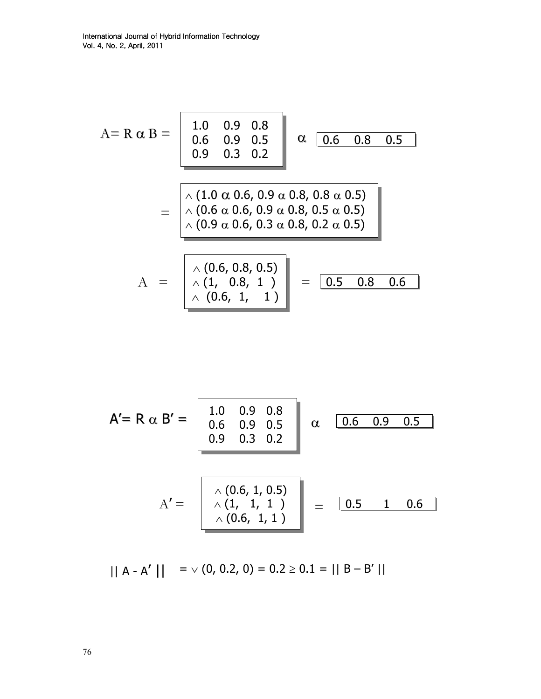$$
A = R \alpha B = \begin{bmatrix} 1.0 & 0.9 & 0.8 \\ 0.6 & 0.9 & 0.5 \\ 0.9 & 0.3 & 0.2 \end{bmatrix} \alpha \underbrace{\begin{bmatrix} 0.6 & 0.8 & 0.5 \\ 0.6 & 0.3 & 0.2 \end{bmatrix}}_{\triangle (0.6 \alpha 0.6, 0.9 \alpha 0.8, 0.8 \alpha 0.5)}
$$

$$
= \begin{bmatrix} \lambda (1.0 \alpha 0.6, 0.9 \alpha 0.8, 0.8 \alpha 0.5) \\ \lambda (0.9 \alpha 0.6, 0.3 \alpha 0.8, 0.2 \alpha 0.5) \\ \lambda (0.9 \alpha 0.6, 0.3 \alpha 0.8, 0.2 \alpha 0.5) \end{bmatrix}
$$

$$
A = \begin{bmatrix} \lambda (0.6, 0.8, 0.5) \\ \lambda (1, 0.8, 1) \\ \lambda (0.6, 1, 1) \end{bmatrix} = \begin{bmatrix} 0.5 & 0.8 & 0.6 \end{bmatrix}
$$

$$
A' = R \alpha B' = \begin{bmatrix} 1.0 & 0.9 & 0.8 \\ 0.6 & 0.9 & 0.5 \\ 0.9 & 0.3 & 0.2 \end{bmatrix} \alpha \quad \boxed{\begin{array}{c} 0.6 & 0.9 & 0.5 \\ 0.6 & 0.9 & 0.5 \end{array}}
$$

$$
A' = \begin{bmatrix} \lambda (0.6, 1, 0.5) \\ \lambda (1, 1, 1) \\ \lambda (0.6, 1, 1) \end{bmatrix} = \boxed{\begin{array}{c} 0.5 & 1 & 0.6 \\ 0.5 & 1 & 0.6 \end{array}}
$$

 $\vert \vert A - A' \vert \vert = \vee (0, 0.2, 0) = 0.2 \ge 0.1 = \vert \vert B - B' \vert \vert$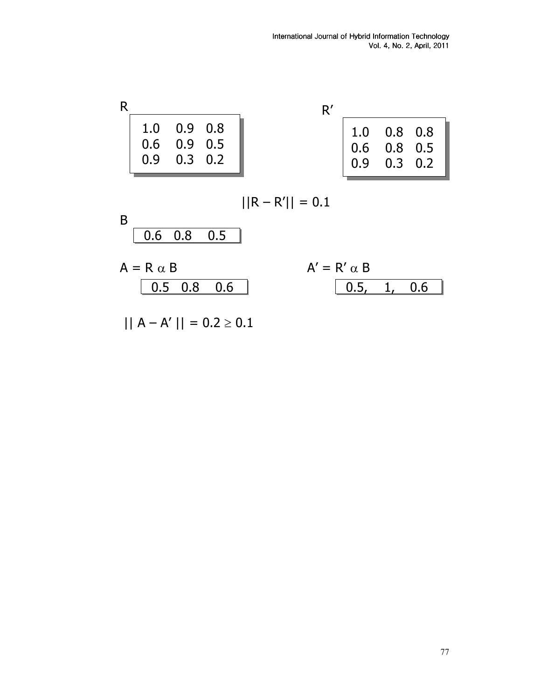|     | $1.0$ 0.9 0.8   |  |               | $1.0$ 0.8 0.8     |  |
|-----|-----------------|--|---------------|-------------------|--|
|     | $0.6$ 0.9 0.5   |  | $0.6$ 0.8 0.5 |                   |  |
| 0.9 | $0.3 \quad 0.2$ |  |               | $0.9$ $0.3$ $0.2$ |  |

$$
||R - R'|| = 0.1
$$

$$
A' = R' \alpha B
$$
  
0.5, 1,

 $\overline{0.6}$ 

$$
|| A - A' || = 0.2 \ge 0.1
$$

0.5 0.8 0.6